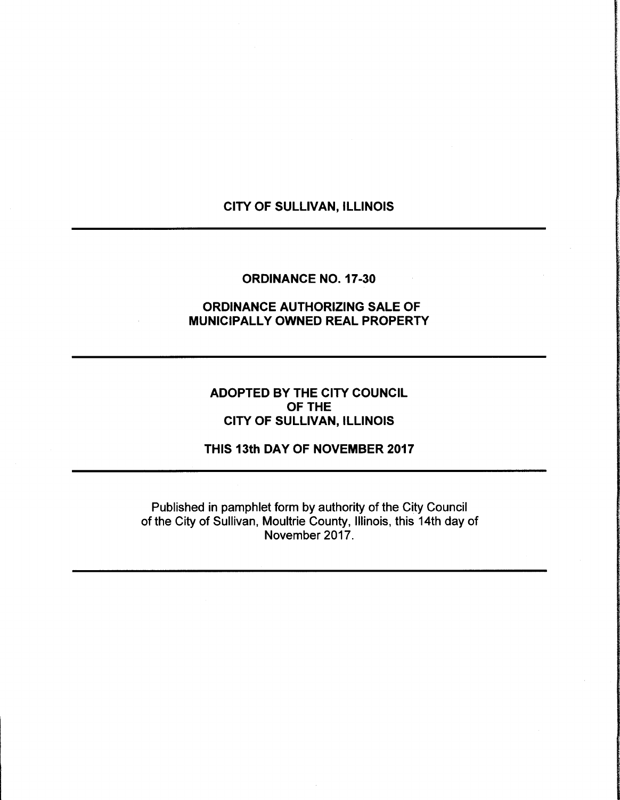# CITY OF SULLIVAN, ILLINOIS

### ORDINANCE NO. 17-30

## ORDINANCE AUTHORIZING SALE OF MUNICIPALLY OWNED REAL PROPERTY

ADOPTED BY THE CITY COUNCIL OF THE CITY OF SULLIVAN, ILLINOIS

THIS 13th DAY OF NOVEMBER 2017

Published in pamphlet form by authority of the City Council of the City of Sullivan, Moultrie County, Illinois, this 14th day of November 2017.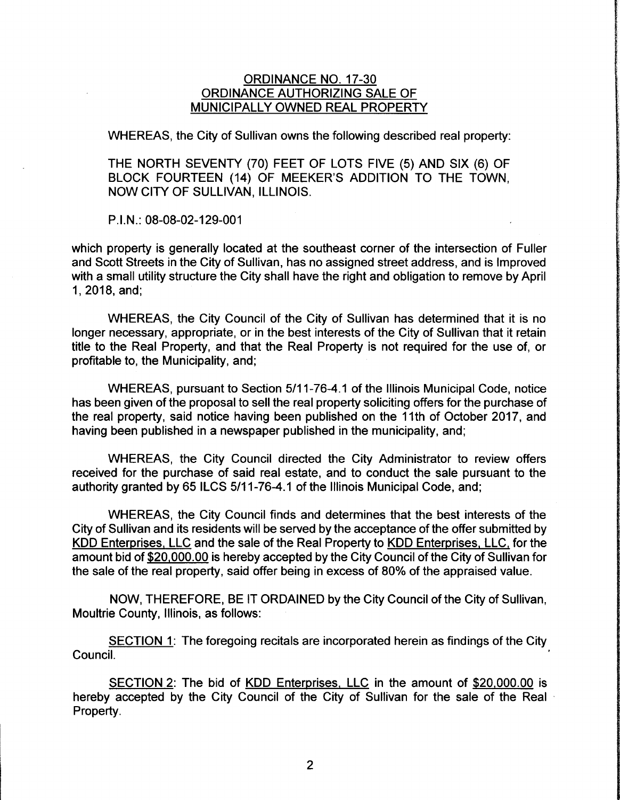### ORDINANCE NO. 17-30 ORDINANCE AUTHORIZING SALE OF MUNICIPALLY OWNED REAL PROPERTY

WHEREAS, the City of Sullivan owns the following described real property:

THE NORTH SEVENTY (70) FEET OF LOTS FIVE (5) AND SIX (6) OF BLOCK FOURTEEN (14) OF MEEKER'S ADDITION TO THE TOWN, NOW CITY OF SULLIVAN, ILLINOIS.

P.I.N.: 08-08-02-129-001

I

which property is generally located at the southeast corner of the intersection of Fuller and Scott Streets in the City of Sullivan, has no assigned street address, and is Improved with a small utility structure the City shall have the right and obligation to remove by April 1, 2018, and;

WHEREAS, the City Council of the City of Sullivan has determined that it is no longer necessary, appropriate, or in the best interests of the City of Sullivan that it retain title to the Real Property, and that the Real Property is not required for the use of, or profitable to, the Municipality, and;

WHEREAS, pursuant to Section 5/11-76-4.1 of the Illinois Municipal Code, notice has been given of the proposal to sell the real property soliciting offers for the purchase of the real property, said notice having been published on the 11th of October 2017, and having been published in a newspaper published in the municipality, and;

WHEREAS, the City Council directed the City Administrator to review offers received for the purchase of said real estate, and to conduct the sale pursuant to the authority granted by 65 ILCS 5/11-76-4.1 of the Illinois Municipal Code, and;

WHEREAS, the City Council finds and determines that the best interests of the City of Sullivan and its residents will be served by the acceptance of the offer submitted by KDD Enterprises, LLC and the sale of the Real Property to KDD Enterprises, LLC, for the amount bid of \$20,000.00 is hereby accepted by the City Council of the City of Sullivan for the sale of the real property, said offer being in excess of 80% of the appraised value.

NOW, THEREFORE, BE IT ORDAINED by the City Council of the City of Sullivan, Moultrie County, Illinois, as follows:

SECTION 1: The foregoing recitals are incorporated herein as findings of the City Council.

SECTION 2: The bid of KDD Enterprises, LLC in the amount of \$20,000.00 is hereby accepted by the City Council of the City of Sullivan for the sale of the Real Property.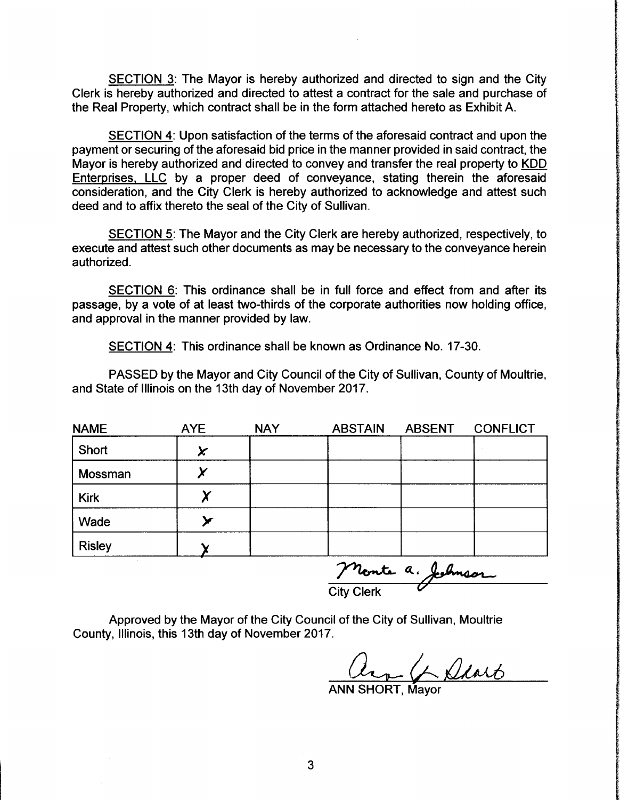SECTION 3: The Mayor is hereby authorized and directed to sign and the City Clerk is hereby authorized and directed to attest a contract for the sale and purchase of the Real Property, which contract shall be in the form attached hereto as Exhibit A.

SECTION 4: Upon satisfaction of the terms of the aforesaid contract and upon the payment or securing of the aforesaid bid price in the manner provided in said contract, the Mayor is hereby authorized and directed to convey and transfer the real property to KDD Enterprises, LLC by <sup>a</sup> proper deed of conveyance, stating therein the aforesaid consideration, and the City Clerk is hereby authorized to acknowledge and attest such deed and to affix thereto the seal of the City of Sullivan.

SECTION 5: The Mayor and the City Clerk are hereby authorized, respectively, to execute and attest such other documents as may be necessary to the conveyance herein authorized.

SECTION 6: This ordinance shall be in full force and effect from and after its passage, by a vote of at least two-thirds of the corporate authorities now holding office, and approval in the manner provided by law.

SECTION 4: This ordinance shall be known as Ordinance No. 17-30.

PASSED by the Mayor and City Council of the City of Sullivan, County of Moultrie, and State of Illinois on the 13th day of November 2017.

| <b>NAME</b>   | <b>AYE</b> | <b>NAY</b> | <b>ABSTAIN</b> | <b>ABSENT</b> | <b>CONFLICT</b> |
|---------------|------------|------------|----------------|---------------|-----------------|
| Short         | X          |            |                |               |                 |
| Mossman       |            |            |                |               |                 |
| <b>Kirk</b>   |            |            |                |               |                 |
| Wade          |            |            |                |               |                 |
| <b>Risley</b> |            |            |                |               |                 |

rente a. Johnson

Approved by the Mayor of the City Council of the City of Sullivan, Moultrie County, Illinois, this 13th day of November 2017.

 $Q$ 

ANN SHORT, Mayor